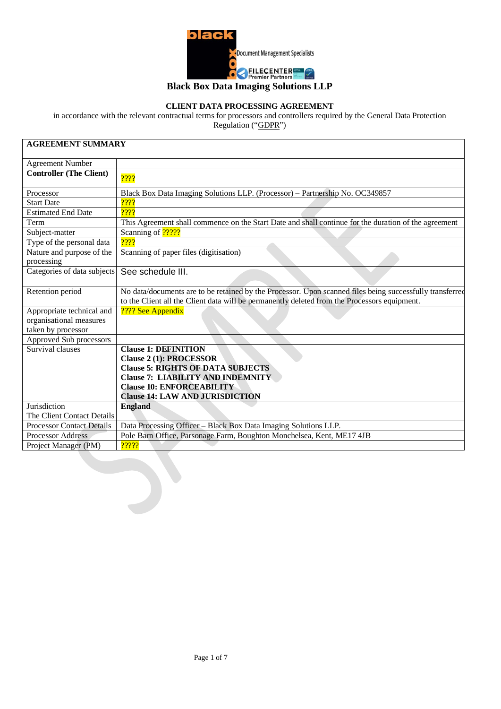

# **Black Box Data Imaging Solutions LLP**

## **CLIENT DATA PROCESSING AGREEMENT**

in accordance with the relevant contractual terms for processors and controllers required by the General Data Protection Regulation ("GDPR")

| <b>AGREEMENT SUMMARY</b>                                       |                                                                                                                                                                                                          |  |  |  |
|----------------------------------------------------------------|----------------------------------------------------------------------------------------------------------------------------------------------------------------------------------------------------------|--|--|--|
| <b>Agreement Number</b>                                        |                                                                                                                                                                                                          |  |  |  |
| <b>Controller (The Client)</b>                                 | 2222                                                                                                                                                                                                     |  |  |  |
| Processor                                                      | Black Box Data Imaging Solutions LLP. (Processor) - Partnership No. OC349857                                                                                                                             |  |  |  |
| <b>Start Date</b>                                              | 2222                                                                                                                                                                                                     |  |  |  |
| <b>Estimated End Date</b>                                      | 2222                                                                                                                                                                                                     |  |  |  |
| Term                                                           | This Agreement shall commence on the Start Date and shall continue for the duration of the agreement                                                                                                     |  |  |  |
| Subject-matter                                                 | Scanning of <b>?????</b>                                                                                                                                                                                 |  |  |  |
| Type of the personal data                                      | 2222                                                                                                                                                                                                     |  |  |  |
| Nature and purpose of the<br>processing                        | Scanning of paper files (digitisation)                                                                                                                                                                   |  |  |  |
| Categories of data subjects                                    | See schedule III.                                                                                                                                                                                        |  |  |  |
| Retention period                                               | No data/documents are to be retained by the Processor. Upon scanned files being successfully transferred<br>to the Client all the Client data will be permanently deleted from the Processors equipment. |  |  |  |
| Appropriate technical and<br>organisational measures           | ???? See Appendix                                                                                                                                                                                        |  |  |  |
| taken by processor                                             |                                                                                                                                                                                                          |  |  |  |
| Approved Sub processors                                        |                                                                                                                                                                                                          |  |  |  |
| Survival clauses                                               | <b>Clause 1: DEFINITION</b>                                                                                                                                                                              |  |  |  |
|                                                                | <b>Clause 2 (1): PROCESSOR</b>                                                                                                                                                                           |  |  |  |
|                                                                | <b>Clause 5: RIGHTS OF DATA SUBJECTS</b>                                                                                                                                                                 |  |  |  |
|                                                                | <b>Clause 7: LIABILITY AND INDEMNITY</b>                                                                                                                                                                 |  |  |  |
|                                                                | <b>Clause 10: ENFORCEABILITY</b>                                                                                                                                                                         |  |  |  |
|                                                                | <b>Clause 14: LAW AND JURISDICTION</b>                                                                                                                                                                   |  |  |  |
| Jurisdiction                                                   | <b>England</b>                                                                                                                                                                                           |  |  |  |
| The Client Contact Details<br><b>Processor Contact Details</b> |                                                                                                                                                                                                          |  |  |  |
| <b>Processor Address</b>                                       | Data Processing Officer - Black Box Data Imaging Solutions LLP.<br>Pole Barn Office, Parsonage Farm, Boughton Monchelsea, Kent, ME17 4JB                                                                 |  |  |  |
|                                                                | 22222                                                                                                                                                                                                    |  |  |  |
| Project Manager (PM)                                           |                                                                                                                                                                                                          |  |  |  |

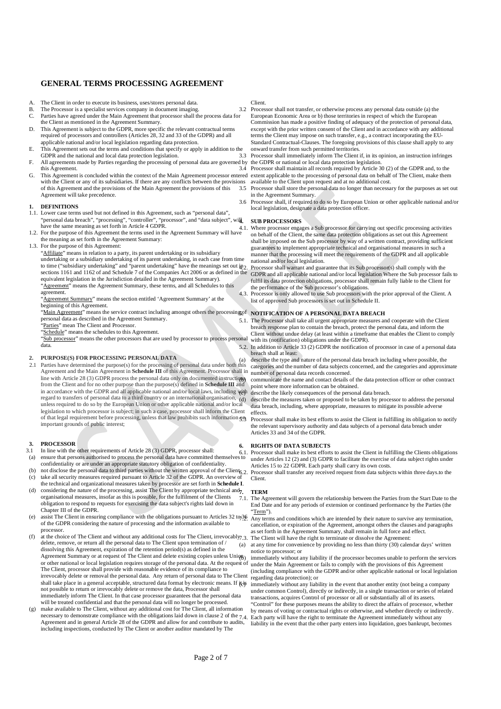## **GENERAL TERMS PROCESSING AGREEMENT**

- A. The Client in order to execute its business, uses/stores personal data.<br>B. The Processor is a specialist services company in document imaging
- The Processor is a specialist services company in document imaging.
- C. Parties have agreed under the Main Agreement that processor shall the process data for the Client as mentioned in the Agreement Summary. D. This Agreement is subject to the GDPR, more specific the relevant contractual terms
- required of processors and controllers (Articles 28, 32 and 33 of the GDPR) and all applicable national and/or local legislation regarding data protection.
- E. This Agreement sets out the terms and conditions that specify or apply in addition to the GDPR and the national and local data protection legislation.
- F. All agreements made by Parties regarding the processing of personal data are governed by the GDPR or national or local data protection legislation. this Agreement.
- G. This Agreement is concluded within the context of the Main Agreement processor entered extent applicable to the processing of personal data on behalf of The Client, make them with the Client or any of its subsidiaries. If there are any conflicts between the provisions available to the Client upon request and at no additional cost. of this Agreement and the provisions of the Main Agreement the provisions of this Agreement will take precedence.

#### **1. DEFINITIONS**

- 1.1. Lower case terms used but not defined in this Agreement, such as "personal data", "personal data breach", "processing", "controller", "processor", and "data subject", will have the same meaning as set forth in Article 4 GDPR.
- 1.2. For the purpose of this Agreement the terms used in the Agreement Summary will have the meaning as set forth in the Agreement Summary:
- 1.3. For the purpose of this Agreement:

"Affiliate" means in relation to a party, its parent undertaking or its subsidiary undertaking or a subsidiary undertaking of its parent undertaking, in each case from time to time ("subsidiary undertaking" and "parent undertaking" have the meanings set out  $\mathbf{u}_2$ sections 1161 and 1162 of and Schedule 7 of the Companies Act 2006 or as defined in the equivalent legislation in the Jurisdiction detailed in the Agreement Summary). "Agreement" means the Agreement Summary, these terms, and all Schedules to this

agreement.

"Agreement Summary" means the section entitled 'Agreement Summary' at the beginning of this Agreement.

"Main Agreement" means the service contract including amongst others the processing of NOTIFICATION OF A PERSONAL DATA BREACH personal data as described in the Agreement Summary.

Parties" mean The Client and Processor.

"Schedule" means the schedules to this Agreement.

"Sub processor" means the other processors that are used by processor to process personal data.

#### **2. PURPOSE(S) FOR PROCESSING PERSONAL DATA**

2.1 Parties have determined the purpose(s) for the processing of personal data under both this Agreement and the Main Agreement in **Schedule III** of this Agreement. Processor shall in line with Article 28 (3) GDPR process the personal data only on documented instructions from the Client and for no other purpose than the purpose(s) defined in **Schedule III** and in accordance with the GDPR and all applicable national and/or local laws, including with in accordance with the GDPR and all applicable national and/or local laws, including with describe the likely consequences of the personal data breach.<br>regard to transfers of personal data to a third country or an internat unless required to do so by the European Union or other applicable national and/or local legislation to which processor is subject; in such a case, processor shall inform the Client of that legal requirement before processing, unless that law prohibits such information  $g_B$ important grounds of public interest;

#### **3. PROCESSOR**

- 3.1 In line with the other requirements of Article 28 (3) GDPR, processor shall: (a) ensure that persons authorised to process the personal data have committed themselves to
- 
- confidentiality or are under an appropriate statutory obligation of confidentiality.<br>(b) not disclose the personal data to third parties without the written approval of the Client. (c) take all security measures required pursuant to Article 32 of the GDPR. An overview of
- the technical and organizational measures taken by processor are set forth in **Schedule I**. (d) considering the nature of the processing, assist The Client by appropriate technical and $7$ . organisational measures, insofar as this is possible, for the fulfilment of the Clients
- obligation to respond to requests for exercising the data subject's rights laid down in Chapter III of the GDPR. (e) assist The Client in ensuring compliance with the obligations pursuant to Articles  $32 \text{ to } 36$
- of the GDPR considering the nature of processing and the information available to processor.
- (f) at the choice of The Client and without any additional costs for The Client, irrevocably 7.3. The Client will have the right to terminate or dissolve the Agreement: delete, remove, or return all the personal data to The Client upon termination of / dissolving this Agreement, expiration of the retention period(s) as defined in the Agreement Summary or at request of The Client and delete existing copies unless Union or other national or local legislation requires storage of the personal data. At the request of The Client, processor shall provide with reasonable evidence of its compliance to irrevocably delete or removal the personal data. Any return of personal data to The Client shall take place in a general acceptable, structured data format by electronic means. If it is immediately without any liability in the event that another entity (not being a company<br>not possible to return or inverse of re immediately inform The Client. In that case processor guarantees that the personal data will be treated confidential and that the personal data will no longer be processed.
- (g) make available to The Client, without any additional cost for The Client, all information necessary to demonstrate compliance with the obligations laid down in clause 2 of the 7.4. Each party will have the right to terminate the Agreement immediately without any Agreement and in general Article 28 of the GDPR and allow for and contribute to audits, including inspections, conducted by The Client or another auditor mandated by The

#### Client.

3.2 Processor shall not transfer, or otherwise process any personal data outside (a) the

European Economic Area or b) those territories in respect of which the European Commission has made a positive finding of adequacy of the protection of personal data, except with the prior written consent of the Client and in accordance with any additional terms the Client may impose on such transfer, e.g., a contract incorporating the EU-Standard Contractual-Clauses. The foregoing provisions of this clause shall apply to any onward transfer from such permitted territories.

3.3 Processor shall immediately inform The Client if, in its opinion, an instruction infringes

3.4 Processor shall maintain all records required by Article 30 (2) of the GDPR and, to the

3.5 Processor shall store the personal data no longer than necessary for the purposes as set out in the Agreement Summary.

3.6 Processor shall, if required to do so by European Union or other applicable national and/or local legislation, designate a data protection officer.

#### **4. SUB PROCESSORS**

4.1. Where processor engages a Sub processor for carrying out specific processing activities on behalf of the Client, the same data protection obligations as set out this Agreement shall be imposed on the Sub processor by way of a written contract, providing sufficient guarantees to implement appropriate technical and organisational measures in such a manner that the processing will meet the requirements of the GDPR and all applicable national and/or local legislation.

Processor shall warrant and guarantee that its Sub processor(s) shall comply with the GDPR and all applicable national and/or local legislation Where the Sub processor fails to fulfil its data protection obligations, processor shall remain fully liable to the Client for the performance of the Sub processor's obligations.

4.3. Processor is only allowed to use Sub processors with the prior approval of the Client. A list of approved Sub processors is set out in Schedule II.

5.1. The Processor shall take all urgent appropriate measures and cooperate with the Client breach response plan to contain the breach, protect the personal data, and inform the Client without undue delay (at least within a timeframe that enables the Client to comply

with its (notification) obligations under the GDPR). 5.2. In addition to Article 33 (2) GDPR the notification of processor in case of a personal data breach shall at least:

(a) describe the type and nature of the personal data breach including where possible, the categories and the number of data subjects concerned, and the categories and approximate number of personal data records concerned.

communicate the name and contact details of the data protection officer or other contract point where more information can be obtained.

data breach, including, where appropriate, measures to mitigate its possible adverse effects.

5.3 Processor shall make its best efforts to assist the Client in fulfilling its obligation to notify the relevant supervisory authority and data subjects of a personal data breach under Articles 33 and 34 of the GDPR.

**6. RIGHTS OF DATA SUBJECTS**<br>6.1. Processor shall make its best efforts to assist the Client in fulfilling the Clients obligations<br><sup>5.10</sup> under Articles 12 (2) and (3) GDPR to facilitate the exercise of data subject rights Articles 15 to 22 GDPR. Each party shall carry its own costs.

6.2. Processor shall transfer any received request from data subjects within three days.to the Client.

### **7. TERM**

7.1. The Agreement will govern the relationship between the Parties from the Start Date to the End Date and for any periods of extension or continued performance by the Parties (the "Term").

Any terms and conditions which are intended by their nature to survive any termination, cancellation, or expiration of the Agreement, amongst others the clauses and paragraphs as set forth in the Agreement Summary, shall remain in full force and effect.

at any time for convenience by providing no less than thirty (30) calendar days' written notice to processor; or

immediately without any liability if the processor becomes unable to perform the services under the Main Agreement or fails to comply with the provisions of this Agreement (including compliance with the GDPR and/or other applicable national or local legislation regarding data protection); or

under common Control), directly or indirectly, in a single transaction or series of related transactions, acquires Control of processor or all or substantially all of its assets. "Control" for these purposes means the ability to direct the affairs of processor, whether by means of voting or contractual rights or otherwise, and whether directly or indirectly.

liability in the event that the other party enters into liquidation, goes bankrupt, becomes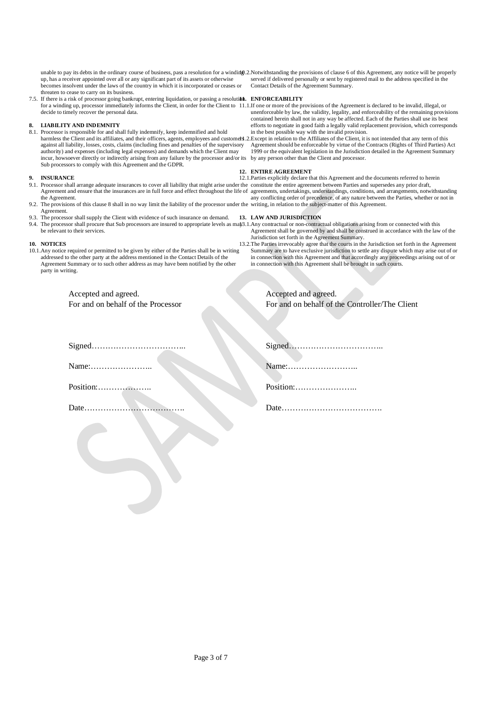unable to pay its debts in the ordinary course of business, pass a resolution for a winding 2. Notwithstanding the provisions of clause 6 of this Agreement, any notice will be properly up, has a receiver appointed over all or any significant part of its assets or otherwise becomes insolvent under the laws of the country in which it is incorporated or ceases or threaten to cease to carry on its business.

7.5. If there is a risk of processor going bankrupt, entering liquidation, or passing a resoluti**bi. ENFORCEABILITY** for a winding up, processor immediately informs the Client, in order for the Client to 11.1. If one or more of the provisions of the Agreement is declared to be invalid, illegal, or decide to timely recover the personal data.

### **8. LIABILITY AND INDEMNITY**

8.1. Processor is responsible for and shall fully indemnify, keep indemnified and hold harmless the Client and its affiliates, and their officers, agents, employees and customers 2. Except in relation to the Affiliates of the Client, it is not intended that any term of this against all liability, losses, costs, claims (including fines and penalties of the supervisory authority) and expenses (including legal expenses) and demands which the Client may incur, howsoever directly or indirectly arising from any failure by the processor and/or its by any person other than the Client and processor. Sub processors to comply with this Agreement and the GDPR.

### **9. INSURANCE**

- 9.1. Processor shall arrange adequate insurances to cover all liability that might arise under the constitute the entire agreement between Parties and supersedes any prior draft, the Agreement.
- 9.2. The provisions of this clause 8 shall in no way limit the liability of the processor under the writing, in relation to the subject-matter of this Agreement. Agreement.
- 9.3. The processor shall supply the Client with evidence of such insurance on demand. 9.4. The processor shall procure that Sub processors are insured to appropriate levels as may 13.1.Any contractual or non-contractual obligations arising from or connected with this be relevant to their services.

### **10. NOTICES**

10.1.Any notice required or permitted to be given by either of the Parties shall be in writing addressed to the other party at the address mentioned in the Contact Details of the Agreement Summary or to such other address as may have been notified by the other party in writing.

> Accepted and agreed. For and on behalf of the Processor

served if delivered personally or sent by registered mail to the address specified in the Contact Details of the Agreement Summary.

unenforceable by law, the validity, legality, and enforceability of the remaining provisions contained herein shall not in any way be affected. Each of the Parties shall use its best efforts to negotiate in good faith a legally valid replacement provision, which corresponds in the best possible way with the invalid provision.

Agreement should be enforceable by virtue of the Contracts (Rights of Third Parties) Act 1999 or the equivalent legislation in the Jurisdiction detailed in the Agreement Summary

#### **12. ENTIRE AGREEMENT**

Agreement and ensure that the insurances are in full force and effect throughout the life of agreements, undertakings, understandings, conditions, and arrangements, notwithstanding 12.1.Parties explicitly declare that this Agreement and the documents referred to herein any conflicting order of precedence, of any nature between the Parties, whether or not in

### **13. LAW AND JURISDICTION**

Agreement shall be governed by and shall be construed in accordance with the law of the Jurisdiction set forth in the Agreement Summary.

13.2.The Parties irrevocably agree that the courts in the Jurisdiction set forth in the Agreement Summary are to have exclusive jurisdiction to settle any dispute which may arise out of or in connection with this Agreement and that accordingly any proceedings arising out of or in connection with this Agreement shall be brought in such courts.

| Accepted and agreed.                           |
|------------------------------------------------|
| For and on behalf of the Controller/The Client |

Signed……………………………..

Name:…………………..

Position:………………..

Date……………………………….

| Name:     |
|-----------|
| Position: |
| Date      |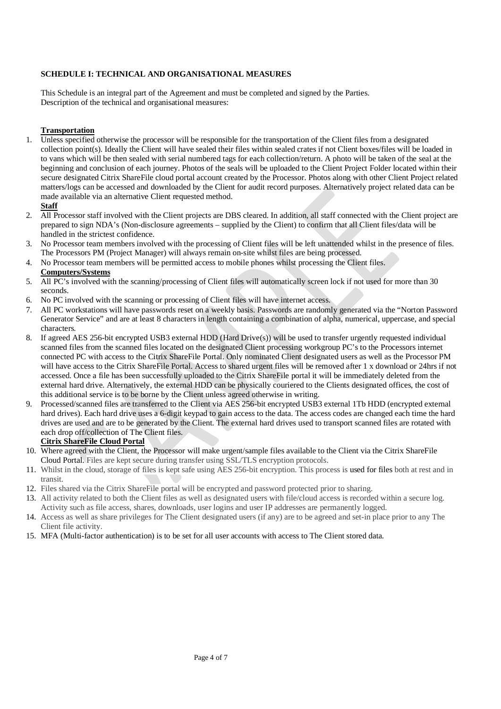## **SCHEDULE I: TECHNICAL AND ORGANISATIONAL MEASURES**

This Schedule is an integral part of the Agreement and must be completed and signed by the Parties. Description of the technical and organisational measures:

## **Transportation**

- 1. Unless specified otherwise the processor will be responsible for the transportation of the Client files from a designated collection point(s). Ideally the Client will have sealed their files within sealed crates if not Client boxes/files will be loaded in to vans which will be then sealed with serial numbered tags for each collection/return. A photo will be taken of the seal at the beginning and conclusion of each journey. Photos of the seals will be uploaded to the Client Project Folder located within their secure designated Citrix ShareFile cloud portal account created by the Processor. Photos along with other Client Project related matters/logs can be accessed and downloaded by the Client for audit record purposes. Alternatively project related data can be made available via an alternative Client requested method.
	- **Staff**
- 2. All Processor staff involved with the Client projects are DBS cleared. In addition, all staff connected with the Client project are prepared to sign NDA's (Non-disclosure agreements – supplied by the Client) to confirm that all Client files/data will be handled in the strictest confidence.
- 3. No Processor team members involved with the processing of Client files will be left unattended whilst in the presence of files. The Processors PM (Project Manager) will always remain on-site whilst files are being processed.
- 4. No Processor team members will be permitted access to mobile phones whilst processing the Client files. **Computers/Systems**
- 5. All PC's involved with the scanning/processing of Client files will automatically screen lock if not used for more than 30 seconds.
- 6. No PC involved with the scanning or processing of Client files will have internet access.
- 7. All PC workstations will have passwords reset on a weekly basis. Passwords are randomly generated via the "Norton Password Generator Service" and are at least 8 characters in length containing a combination of alpha, numerical, uppercase, and special characters.
- 8. If agreed AES 256-bit encrypted USB3 external HDD (Hard Drive(s)) will be used to transfer urgently requested individual scanned files from the scanned files located on the designated Client processing workgroup PC's to the Processors internet connected PC with access to the Citrix ShareFile Portal. Only nominated Client designated users as well as the Processor PM will have access to the Citrix ShareFile Portal. Access to shared urgent files will be removed after 1 x download or 24hrs if not accessed. Once a file has been successfully uploaded to the Citrix ShareFile portal it will be immediately deleted from the external hard drive. Alternatively, the external HDD can be physically couriered to the Clients designated offices, the cost of this additional service is to be borne by the Client unless agreed otherwise in writing.
- 9. Processed/scanned files are transferred to the Client via AES 256-bit encrypted USB3 external 1Tb HDD (encrypted external hard drives). Each hard drive uses a 6-digit keypad to gain access to the data. The access codes are changed each time the hard drives are used and are to be generated by the Client. The external hard drives used to transport scanned files are rotated with each drop off/collection of The Client files.

## **Citrix ShareFile Cloud Portal**

- 10. Where agreed with the Client, the Processor will make urgent/sample files available to the Client via the Citrix ShareFile Cloud Portal. Files are kept secure during transfer using SSL/TLS encryption protocols.
- 11. Whilst in the cloud, storage of files is kept safe using AES 256-bit encryption. This process is used for files both at rest and in transit.
- 12. Files shared via the Citrix ShareFile portal will be encrypted and password protected prior to sharing.
- 13. All activity related to both the Client files as well as designated users with file/cloud access is recorded within a secure log. Activity such as file access, shares, downloads, user logins and user IP addresses are permanently logged.
- 14. Access as well as share privileges for The Client designated users (if any) are to be agreed and set-in place prior to any The Client file activity.
- 15. MFA (Multi-factor authentication) is to be set for all user accounts with access to The Client stored data.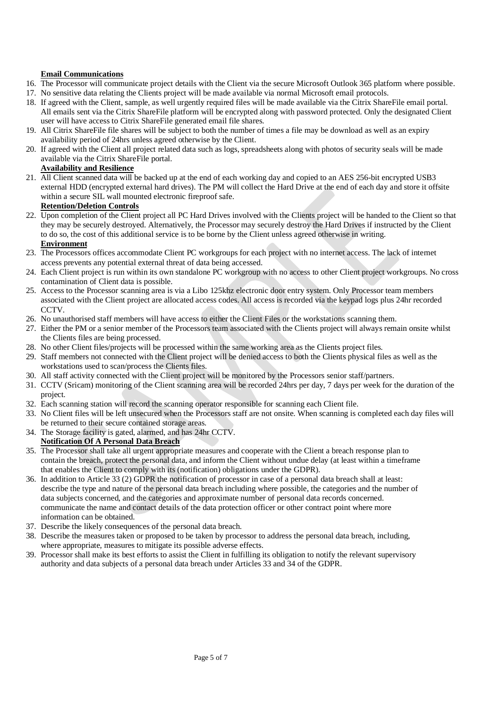## **Email Communications**

- 16. The Processor will communicate project details with the Client via the secure Microsoft Outlook 365 platform where possible.
- 17. No sensitive data relating the Clients project will be made available via normal Microsoft email protocols.
- 18. If agreed with the Client, sample, as well urgently required files will be made available via the Citrix ShareFile email portal. All emails sent via the Citrix ShareFile platform will be encrypted along with password protected. Only the designated Client user will have access to Citrix ShareFile generated email file shares.
- 19. All Citrix ShareFile file shares will be subject to both the number of times a file may be download as well as an expiry availability period of 24hrs unless agreed otherwise by the Client.
- 20. If agreed with the Client all project related data such as logs, spreadsheets along with photos of security seals will be made available via the Citrix ShareFile portal.

## **Availability and Resilience**

21. All Client scanned data will be backed up at the end of each working day and copied to an AES 256-bit encrypted USB3 external HDD (encrypted external hard drives). The PM will collect the Hard Drive at the end of each day and store it offsite within a secure SIL wall mounted electronic fireproof safe.

## **Retention/Deletion Controls**

22. Upon completion of the Client project all PC Hard Drives involved with the Clients project will be handed to the Client so that they may be securely destroyed. Alternatively, the Processor may securely destroy the Hard Drives if instructed by the Client to do so, the cost of this additional service is to be borne by the Client unless agreed otherwise in writing.

## **Environment**

- 23. The Processors offices accommodate Client PC workgroups for each project with no internet access. The lack of internet access prevents any potential external threat of data being accessed.
- 24. Each Client project is run within its own standalone PC workgroup with no access to other Client project workgroups. No cross contamination of Client data is possible.
- 25. Access to the Processor scanning area is via a Libo 125khz electronic door entry system. Only Processor team members associated with the Client project are allocated access codes. All access is recorded via the keypad logs plus 24hr recorded **CCTV**
- 26. No unauthorised staff members will have access to either the Client Files or the workstations scanning them.
- 27. Either the PM or a senior member of the Processors team associated with the Clients project will always remain onsite whilst the Clients files are being processed.
- 28. No other Client files/projects will be processed within the same working area as the Clients project files.
- 29. Staff members not connected with the Client project will be denied access to both the Clients physical files as well as the workstations used to scan/process the Clients files.
- 30. All staff activity connected with the Client project will be monitored by the Processors senior staff/partners.
- 31. CCTV (Sricam) monitoring of the Client scanning area will be recorded 24hrs per day, 7 days per week for the duration of the project.
- 32. Each scanning station will record the scanning operator responsible for scanning each Client file.
- 33. No Client files will be left unsecured when the Processors staff are not onsite. When scanning is completed each day files will be returned to their secure contained storage areas.
- 34. The Storage facility is gated, alarmed, and has 24hr CCTV.

## **Notification Of A Personal Data Breach**

- 35. The Processor shall take all urgent appropriate measures and cooperate with the Client a breach response plan to contain the breach, protect the personal data, and inform the Client without undue delay (at least within a timeframe that enables the Client to comply with its (notification) obligations under the GDPR).
- 36. In addition to Article 33 (2) GDPR the notification of processor in case of a personal data breach shall at least: describe the type and nature of the personal data breach including where possible, the categories and the number of data subjects concerned, and the categories and approximate number of personal data records concerned. communicate the name and contact details of the data protection officer or other contract point where more information can be obtained.
- 37. Describe the likely consequences of the personal data breach.
- 38. Describe the measures taken or proposed to be taken by processor to address the personal data breach, including, where appropriate, measures to mitigate its possible adverse effects.
- 39. Processor shall make its best efforts to assist the Client in fulfilling its obligation to notify the relevant supervisory authority and data subjects of a personal data breach under Articles 33 and 34 of the GDPR.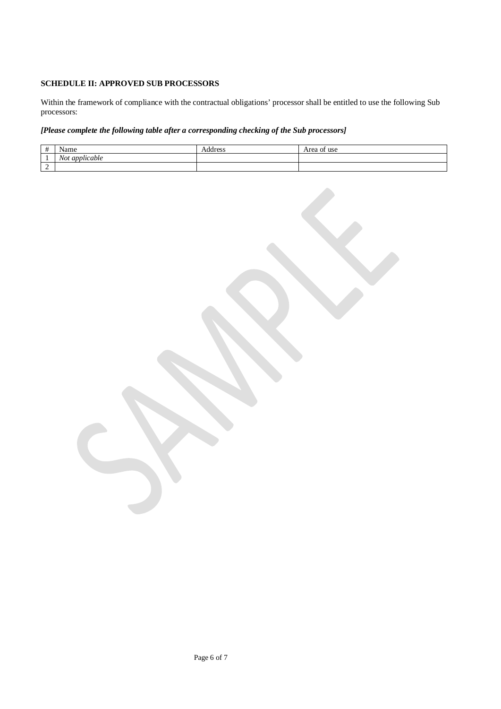## **SCHEDULE II: APPROVED SUB PROCESSORS**

Within the framework of compliance with the contractual obligations' processor shall be entitled to use the following Sub processors:

## *[Please complete the following table after a corresponding checking of the Sub processors]*

| $\overline{\phantom{a}}$<br>$^{\pi}$ | Name                                            | Address | Area of use |
|--------------------------------------|-------------------------------------------------|---------|-------------|
|                                      | . .<br>$\mathbf{v}$<br><i>applicable</i><br>N0t |         |             |
| -                                    |                                                 |         |             |